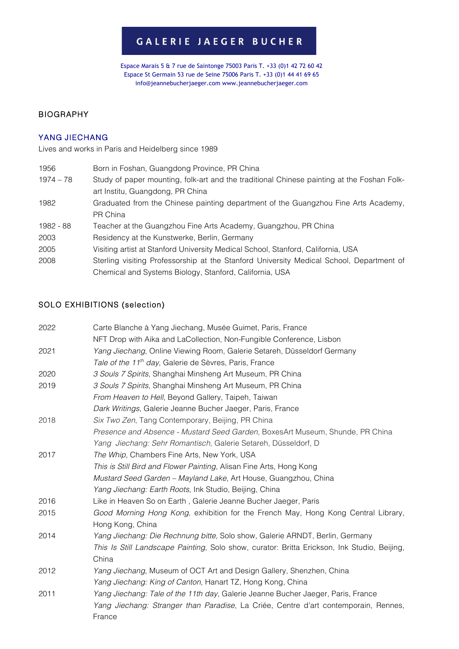# GALERIE JAEGER BUCHER

Espace Marais 5 & 7 rue de Saintonge 75003 Paris T. +33 (0)1 42 72 60 42 Espace St Germain 53 rue de Seine 75006 Paris T. +33 (0)1 44 41 69 65 info@jeannebucherjaeger.com www.jeannebucherjaeger.com

## BIOGRAPHY

#### YANG JIECHANG

Lives and works in Paris and Heidelberg since 1989

| 1956        | Born in Foshan, Guangdong Province, PR China                                               |
|-------------|--------------------------------------------------------------------------------------------|
| $1974 - 78$ | Study of paper mounting, folk-art and the traditional Chinese painting at the Foshan Folk- |
|             | art Institu, Guangdong, PR China                                                           |
| 1982        | Graduated from the Chinese painting department of the Guangzhou Fine Arts Academy,         |
|             | PR China                                                                                   |
| 1982 - 88   | Teacher at the Guangzhou Fine Arts Academy, Guangzhou, PR China                            |
| 2003        | Residency at the Kunstwerke, Berlin, Germany                                               |
| 2005        | Visiting artist at Stanford University Medical School, Stanford, California, USA           |
| 2008        | Sterling visiting Professorship at the Stanford University Medical School, Department of   |
|             | Chemical and Systems Biology, Stanford, California, USA                                    |

## SOLO EXHIBITIONS (selection)

| 2022 | Carte Blanche à Yang Jiechang, Musée Guimet, Paris, France                                  |
|------|---------------------------------------------------------------------------------------------|
|      | NFT Drop with Aika and LaCollection, Non-Fungible Conference, Lisbon                        |
| 2021 | Yang Jiechang, Online Viewing Room, Galerie Setareh, Düsseldorf Germany                     |
|      | Tale of the 11 <sup>th</sup> day, Galerie de Sèvres, Paris, France                          |
| 2020 | 3 Souls 7 Spirits, Shanghai Minsheng Art Museum, PR China                                   |
| 2019 | 3 Souls 7 Spirits, Shanghai Minsheng Art Museum, PR China                                   |
|      | From Heaven to Hell, Beyond Gallery, Taipeh, Taiwan                                         |
|      | Dark Writings, Galerie Jeanne Bucher Jaeger, Paris, France                                  |
| 2018 | Six Two Zen, Tang Contemporary, Beijing, PR China                                           |
|      | Presence and Absence - Mustard Seed Garden, BoxesArt Museum, Shunde, PR China               |
|      | Yang Jiechang: Sehr Romantisch, Galerie Setareh, Düsseldorf, D                              |
| 2017 | The Whip, Chambers Fine Arts, New York, USA                                                 |
|      | This is Still Bird and Flower Painting, Alisan Fine Arts, Hong Kong                         |
|      | Mustard Seed Garden - Mayland Lake, Art House, Guangzhou, China                             |
|      | Yang Jiechang: Earth Roots, Ink Studio, Beijing, China                                      |
| 2016 | Like in Heaven So on Earth, Galerie Jeanne Bucher Jaeger, Paris                             |
| 2015 | Good Morning Hong Kong, exhibition for the French May, Hong Kong Central Library,           |
|      | Hong Kong, China                                                                            |
| 2014 | Yang Jiechang: Die Rechnung bitte, Solo show, Galerie ARNDT, Berlin, Germany                |
|      | This Is Still Landscape Painting, Solo show, curator: Britta Erickson, Ink Studio, Beijing, |
|      | China                                                                                       |
| 2012 | Yang Jiechang, Museum of OCT Art and Design Gallery, Shenzhen, China                        |
|      | Yang Jiechang: King of Canton, Hanart TZ, Hong Kong, China                                  |
| 2011 | Yang Jiechang: Tale of the 11th day, Galerie Jeanne Bucher Jaeger, Paris, France            |
|      | Yang Jiechang: Stranger than Paradise, La Criée, Centre d'art contemporain, Rennes,         |
|      | France                                                                                      |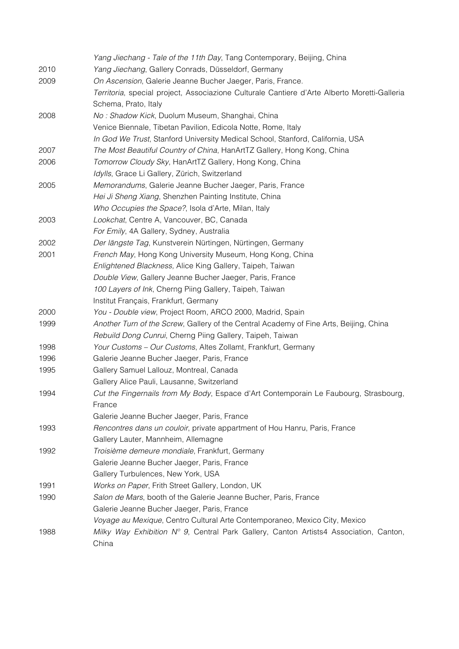|      | Yang Jiechang - Tale of the 11th Day, Tang Contemporary, Beijing, China                      |
|------|----------------------------------------------------------------------------------------------|
| 2010 | Yang Jiechang, Gallery Conrads, Düsseldorf, Germany                                          |
| 2009 | On Ascension, Galerie Jeanne Bucher Jaeger, Paris, France.                                   |
|      | Territoria, special project, Associazione Culturale Cantiere d'Arte Alberto Moretti-Galleria |
|      | Schema, Prato, Italy                                                                         |
| 2008 | No: Shadow Kick, Duolum Museum, Shanghai, China                                              |
|      | Venice Biennale, Tibetan Pavilion, Edicola Notte, Rome, Italy                                |
|      | In God We Trust, Stanford University Medical School, Stanford, California, USA               |
| 2007 | The Most Beautiful Country of China, HanArtTZ Gallery, Hong Kong, China                      |
| 2006 | Tomorrow Cloudy Sky, HanArtTZ Gallery, Hong Kong, China                                      |
|      | Idylls, Grace Li Gallery, Zürich, Switzerland                                                |
| 2005 | Memorandums, Galerie Jeanne Bucher Jaeger, Paris, France                                     |
|      | Hei Ji Sheng Xiang, Shenzhen Painting Institute, China                                       |
|      | Who Occupies the Space?, Isola d'Arte, Milan, Italy                                          |
| 2003 | Lookchat, Centre A, Vancouver, BC, Canada                                                    |
|      | For Emily, 4A Gallery, Sydney, Australia                                                     |
| 2002 | Der längste Tag, Kunstverein Nürtingen, Nürtingen, Germany                                   |
| 2001 | French May, Hong Kong University Museum, Hong Kong, China                                    |
|      | Enlightened Blackness, Alice King Gallery, Taipeh, Taiwan                                    |
|      | Double View, Gallery Jeanne Bucher Jaeger, Paris, France                                     |
|      | 100 Layers of Ink, Cherng Piing Gallery, Taipeh, Taiwan                                      |
|      | Institut Français, Frankfurt, Germany                                                        |
| 2000 | You - Double view, Project Room, ARCO 2000, Madrid, Spain                                    |
| 1999 | Another Turn of the Screw, Gallery of the Central Academy of Fine Arts, Beijing, China       |
|      | Rebuild Dong Cunrui, Cherng Piing Gallery, Taipeh, Taiwan                                    |
| 1998 | Your Customs - Our Customs, Altes Zollamt, Frankfurt, Germany                                |
| 1996 | Galerie Jeanne Bucher Jaeger, Paris, France                                                  |
| 1995 | Gallery Samuel Lallouz, Montreal, Canada                                                     |
|      | Gallery Alice Pauli, Lausanne, Switzerland                                                   |
| 1994 | Cut the Fingernails from My Body, Espace d'Art Contemporain Le Faubourg, Strasbourg,         |
|      | France                                                                                       |
|      | Galerie Jeanne Bucher Jaeger, Paris, France                                                  |
| 1993 | Rencontres dans un couloir, private appartment of Hou Hanru, Paris, France                   |
|      | Gallery Lauter, Mannheim, Allemagne                                                          |
| 1992 | Troisième demeure mondiale, Frankfurt, Germany                                               |
|      | Galerie Jeanne Bucher Jaeger, Paris, France                                                  |
|      | Gallery Turbulences, New York, USA                                                           |
| 1991 | Works on Paper, Frith Street Gallery, London, UK                                             |
| 1990 | Salon de Mars, booth of the Galerie Jeanne Bucher, Paris, France                             |
|      | Galerie Jeanne Bucher Jaeger, Paris, France                                                  |
|      | Voyage au Mexique, Centro Cultural Arte Contemporaneo, Mexico City, Mexico                   |
| 1988 | Milky Way Exhibition Nº 9, Central Park Gallery, Canton Artists4 Association, Canton,        |
|      | China                                                                                        |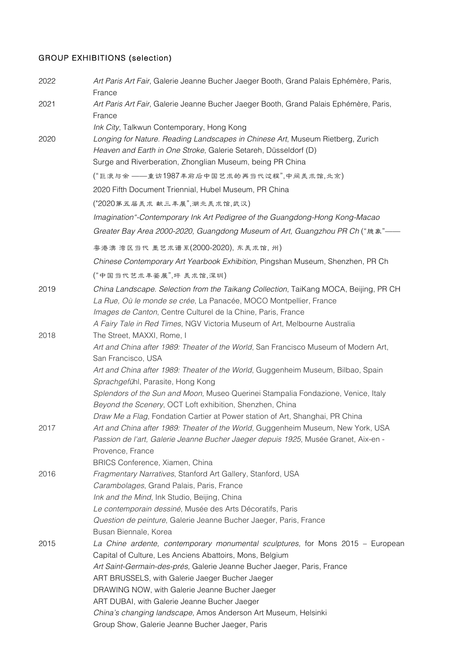# GROUP EXHIBITIONS (selection)

| 2022 | Art Paris Art Fair, Galerie Jeanne Bucher Jaeger Booth, Grand Palais Ephémère, Paris,<br>France                                                   |
|------|---------------------------------------------------------------------------------------------------------------------------------------------------|
| 2021 | Art Paris Art Fair, Galerie Jeanne Bucher Jaeger Booth, Grand Palais Ephémère, Paris,                                                             |
|      | France                                                                                                                                            |
|      | Ink City, Talkwun Contemporary, Hong Kong                                                                                                         |
| 2020 | Longing for Nature. Reading Landscapes in Chinese Art, Museum Rietberg, Zurich<br>Heaven and Earth in One Stroke, Galerie Setareh, Düsseldorf (D) |
|      | Surge and Riverberation, Zhonglian Museum, being PR China                                                                                         |
|      | ("巨浪与余 ——重访1987年前后中国艺术的再当代过程",中间美术馆,北京)                                                                                                           |
|      | 2020 Fifth Document Triennial, Hubel Museum, PR China                                                                                             |
|      | ("2020第五届美术献三丰展",湖北美术馆,武汉)                                                                                                                        |
|      | Imagination"-Contemporary Ink Art Pedigree of the Guangdong-Hong Kong-Macao                                                                       |
|      | Greater Bay Area 2000-2020, Guangdong Museum of Art, Guangzhou PR Ch ("臆象"—                                                                       |
|      | 粤港澳湾区当代 墨艺术谱系(2000-2020), 东美术馆, 州)                                                                                                                |
|      | Chinese Contemporary Art Yearbook Exhibition, Pingshan Museum, Shenzhen, PR Ch                                                                    |
|      | ("中国当代艺术丰鉴展",坪 美术馆,深圳)                                                                                                                            |
| 2019 | China Landscape. Selection from the Taikang Collection, TaiKang MOCA, Beijing, PR CH                                                              |
|      | La Rue, Où le monde se crée, La Panacée, MOCO Montpellier, France                                                                                 |
|      | Images de Canton, Centre Culturel de la Chine, Paris, France                                                                                      |
|      | A Fairy Tale in Red Times, NGV Victoria Museum of Art, Melbourne Australia                                                                        |
| 2018 | The Street, MAXXI, Rome, I                                                                                                                        |
|      | Art and China after 1989: Theater of the World, San Francisco Museum of Modern Art,<br>San Francisco, USA                                         |
|      | Art and China after 1989: Theater of the World, Guggenheim Museum, Bilbao, Spain                                                                  |
|      | Sprachgefühl, Parasite, Hong Kong                                                                                                                 |
|      | Splendors of the Sun and Moon, Museo Querinei Stampalia Fondazione, Venice, Italy                                                                 |
|      | Beyond the Scenery, OCT Loft exhibition, Shenzhen, China                                                                                          |
|      | Draw Me a Flag, Fondation Cartier at Power station of Art, Shanghai, PR China                                                                     |
| 2017 | Art and China after 1989: Theater of the World, Guggenheim Museum, New York, USA                                                                  |
|      | Passion de l'art, Galerie Jeanne Bucher Jaeger depuis 1925, Musée Granet, Aix-en -                                                                |
|      | Provence, France                                                                                                                                  |
|      | BRICS Conference, Xiamen, China                                                                                                                   |
| 2016 | Fragmentary Narratives, Stanford Art Gallery, Stanford, USA                                                                                       |
|      | Carambolages, Grand Palais, Paris, France                                                                                                         |
|      | Ink and the Mind, Ink Studio, Beijing, China                                                                                                      |
|      | Le contemporain dessiné, Musée des Arts Décoratifs, Paris                                                                                         |
|      | Question de peinture, Galerie Jeanne Bucher Jaeger, Paris, France                                                                                 |
|      | Busan Biennale, Korea                                                                                                                             |
| 2015 | La Chine ardente, contemporary monumental sculptures, for Mons 2015 – European                                                                    |
|      | Capital of Culture, Les Anciens Abattoirs, Mons, Belgium                                                                                          |
|      | Art Saint-Germain-des-prés, Galerie Jeanne Bucher Jaeger, Paris, France                                                                           |
|      | ART BRUSSELS, with Galerie Jaeger Bucher Jaeger                                                                                                   |
|      | DRAWING NOW, with Galerie Jeanne Bucher Jaeger                                                                                                    |
|      | ART DUBAI, with Galerie Jeanne Bucher Jaeger                                                                                                      |
|      | China's changing landscape, Amos Anderson Art Museum, Helsinki                                                                                    |
|      | Group Show, Galerie Jeanne Bucher Jaeger, Paris                                                                                                   |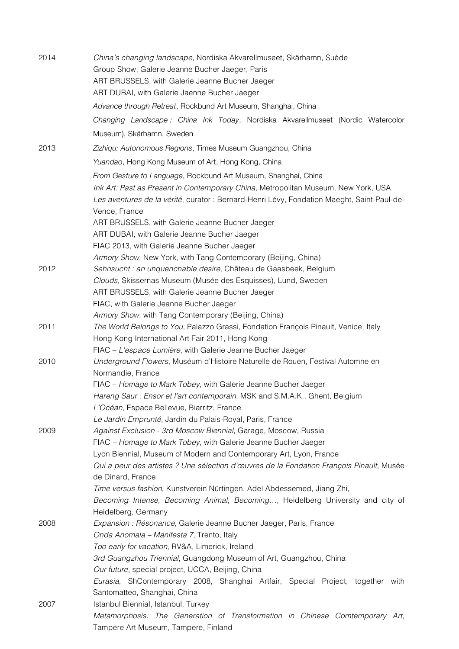| 2014 | China's changing landscape, Nordiska Akvarellmuseet, Skärhamn, Suède<br>Group Show, Galerie Jeanne Bucher Jaeger, Paris<br>ART BRUSSELS, with Galerie Jeanne Bucher Jaeger<br>ART DUBAI, with Galerie Jaenne Bucher Jaeger                           |
|------|------------------------------------------------------------------------------------------------------------------------------------------------------------------------------------------------------------------------------------------------------|
|      | Advance through Retreat, Rockbund Art Museum, Shanghai, China                                                                                                                                                                                        |
|      | Changing Landscape: China Ink Today, Nordiska Akvarellmuseet (Nordic Watercolor                                                                                                                                                                      |
|      | Museum), Skärhamn, Sweden                                                                                                                                                                                                                            |
| 2013 | Zizhiqu: Autonomous Regions, Times Museum Guangzhou, China                                                                                                                                                                                           |
|      | Yuandao, Hong Kong Museum of Art, Hong Kong, China                                                                                                                                                                                                   |
|      | From Gesture to Language, Rockbund Art Museum, Shanghai, China                                                                                                                                                                                       |
|      | Ink Art: Past as Present in Contemporary China, Metropolitan Museum, New York, USA<br>Les aventures de la vérité, curator : Bernard-Henri Lévy, Fondation Maeght, Saint-Paul-de-<br>Vence, France<br>ART BRUSSELS, with Galerie Jeanne Bucher Jaeger |
|      | ART DUBAI, with Galerie Jeanne Bucher Jaeger                                                                                                                                                                                                         |
|      | FIAC 2013, with Galerie Jeanne Bucher Jaeger                                                                                                                                                                                                         |
|      | Armory Show, New York, with Tang Contemporary (Beijing, China)                                                                                                                                                                                       |
| 2012 | Sehnsucht : an unquenchable desire, Château de Gaasbeek, Belgium                                                                                                                                                                                     |
|      | Clouds, Skissernas Museum (Musée des Esquisses), Lund, Sweden                                                                                                                                                                                        |
|      | ART BRUSSELS, with Galerie Jeanne Bucher Jaeger                                                                                                                                                                                                      |
|      | FIAC, with Galerie Jeanne Bucher Jaeger                                                                                                                                                                                                              |
| 2011 | Armory Show, with Tang Contemporary (Beijing, China)<br>The World Belongs to You, Palazzo Grassi, Fondation François Pinault, Venice, Italy                                                                                                          |
|      | Hong Kong International Art Fair 2011, Hong Kong                                                                                                                                                                                                     |
|      | FIAC - L'espace Lumière, with Galerie Jeanne Bucher Jaeger                                                                                                                                                                                           |
| 2010 | Underground Flowers, Muséum d'Histoire Naturelle de Rouen, Festival Automne en<br>Normandie, France                                                                                                                                                  |
|      | FIAC - Homage to Mark Tobey, with Galerie Jeanne Bucher Jaeger                                                                                                                                                                                       |
|      | Hareng Saur: Ensor et l'art contemporain, MSK and S.M.A.K., Ghent, Belgium                                                                                                                                                                           |
|      | L'Océan, Espace Bellevue, Biarritz, France                                                                                                                                                                                                           |
|      | Le Jardin Emprunté, Jardin du Palais-Royal, Paris, France                                                                                                                                                                                            |
| 2009 | Against Exclusion - 3rd Moscow Biennial, Garage, Moscow, Russia<br>FIAC - Homage to Mark Tobey, with Galerie Jeanne Bucher Jaeger                                                                                                                    |
|      | Lyon Biennial, Museum of Modern and Contemporary Art, Lyon, France                                                                                                                                                                                   |
|      | Qui a peur des artistes ? Une sélection d'œuvres de la Fondation François Pinault, Musée                                                                                                                                                             |
|      | de Dinard, France                                                                                                                                                                                                                                    |
|      | Time versus fashion, Kunstverein Nürtingen, Adel Abdessemed, Jiang Zhi,                                                                                                                                                                              |
|      | Becoming Intense, Becoming Animal, Becoming, Heidelberg University and city of                                                                                                                                                                       |
|      | Heidelberg, Germany                                                                                                                                                                                                                                  |
| 2008 | Expansion : Résonance, Galerie Jeanne Bucher Jaeger, Paris, France                                                                                                                                                                                   |
|      | Onda Anomala - Manifesta 7, Trento, Italy                                                                                                                                                                                                            |
|      | Too early for vacation, RV&A, Limerick, Ireland<br>3rd Guangzhou Triennial, Guangdong Museum of Art, Guangzhou, China                                                                                                                                |
|      | Our future, special project, UCCA, Beijing, China                                                                                                                                                                                                    |
|      | Eurasia, ShContemporary 2008, Shanghai Artfair, Special Project, together with                                                                                                                                                                       |
|      | Santomatteo, Shanghai, China                                                                                                                                                                                                                         |
| 2007 | Istanbul Biennial, Istanbul, Turkey                                                                                                                                                                                                                  |
|      | Metamorphosis: The Generation of Transformation in Chinese Comtemporary Art,<br>Tampere Art Museum, Tampere, Finland                                                                                                                                 |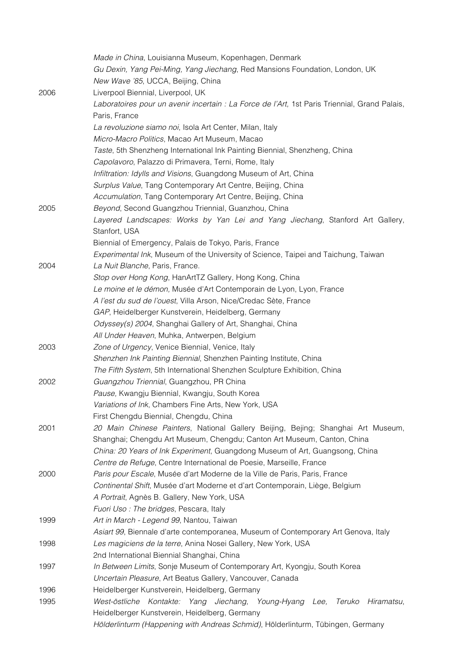|      | Made in China, Louisianna Museum, Kopenhagen, Denmark                                         |
|------|-----------------------------------------------------------------------------------------------|
|      | Gu Dexin, Yang Pei-Ming, Yang Jiechang, Red Mansions Foundation, London, UK                   |
|      | New Wave '85, UCCA, Beijing, China                                                            |
| 2006 | Liverpool Biennial, Liverpool, UK                                                             |
|      | Laboratoires pour un avenir incertain : La Force de l'Art, 1st Paris Triennial, Grand Palais, |
|      | Paris, France                                                                                 |
|      | La revoluzione siamo noi, Isola Art Center, Milan, Italy                                      |
|      | Micro-Macro Politics, Macao Art Museum, Macao                                                 |
|      | Taste, 5th Shenzheng International Ink Painting Biennial, Shenzheng, China                    |
|      | Capolavoro, Palazzo di Primavera, Terni, Rome, Italy                                          |
|      |                                                                                               |
|      | Infiltration: Idylls and Visions, Guangdong Museum of Art, China                              |
|      | Surplus Value, Tang Contemporary Art Centre, Beijing, China                                   |
|      | Accumulation, Tang Contemporary Art Centre, Beijing, China                                    |
| 2005 | Beyond, Second Guangzhou Triennial, Guanzhou, China                                           |
|      | Layered Landscapes: Works by Yan Lei and Yang Jiechang, Stanford Art Gallery,                 |
|      | Stanfort, USA                                                                                 |
|      | Biennial of Emergency, Palais de Tokyo, Paris, France                                         |
|      | Experimental Ink, Museum of the University of Science, Taipei and Taichung, Taiwan            |
| 2004 | La Nuit Blanche, Paris, France.                                                               |
|      | Stop over Hong Kong, HanArtTZ Gallery, Hong Kong, China                                       |
|      | Le moine et le démon, Musée d'Art Contemporain de Lyon, Lyon, France                          |
|      | A l'est du sud de l'ouest, Villa Arson, Nice/Credac Sète, France                              |
|      | GAP, Heidelberger Kunstverein, Heidelberg, Germany                                            |
|      | Odyssey(s) 2004, Shanghai Gallery of Art, Shanghai, China                                     |
|      | All Under Heaven, Muhka, Antwerpen, Belgium                                                   |
| 2003 | Zone of Urgency, Venice Biennial, Venice, Italy                                               |
|      | Shenzhen Ink Painting Biennial, Shenzhen Painting Institute, China                            |
|      | The Fifth System, 5th International Shenzhen Sculpture Exhibition, China                      |
| 2002 | Guangzhou Triennial, Guangzhou, PR China                                                      |
|      | Pause, Kwangju Biennial, Kwangju, South Korea                                                 |
|      | Variations of Ink, Chambers Fine Arts, New York, USA                                          |
|      | First Chengdu Biennial, Chengdu, China                                                        |
| 2001 | 20 Main Chinese Painters, National Gallery Beijing, Bejing; Shanghai Art Museum,              |
|      | Shanghai; Chengdu Art Museum, Chengdu; Canton Art Museum, Canton, China                       |
|      | China: 20 Years of Ink Experiment, Guangdong Museum of Art, Guangsong, China                  |
|      | Centre de Refuge, Centre International de Poesie, Marseille, France                           |
| 2000 | Paris pour Escale, Musée d'art Moderne de la Ville de Paris, Paris, France                    |
|      | Continental Shift, Musée d'art Moderne et d'art Contemporain, Liège, Belgium                  |
|      | A Portrait, Agnès B. Gallery, New York, USA                                                   |
|      | Fuori Uso: The bridges, Pescara, Italy                                                        |
| 1999 | Art in March - Legend 99, Nantou, Taiwan                                                      |
|      | Asiart 99, Biennale d'arte contemporanea, Museum of Contemporary Art Genova, Italy            |
| 1998 | Les magiciens de la terre, Anina Nosei Gallery, New York, USA                                 |
|      | 2nd International Biennial Shanghai, China                                                    |
| 1997 | In Between Limits, Sonje Museum of Contemporary Art, Kyongju, South Korea                     |
|      | Uncertain Pleasure, Art Beatus Gallery, Vancouver, Canada                                     |
| 1996 | Heidelberger Kunstverein, Heidelberg, Germany                                                 |
| 1995 | West-östliche Kontakte: Yang Jiechang, Young-Hyang Lee,<br>Teruko<br>Hiramatsu,               |
|      | Heidelberger Kunstverein, Heidelberg, Germany                                                 |
|      |                                                                                               |
|      | Hölderlinturm (Happening with Andreas Schmid), Hölderlinturm, Tübingen, Germany               |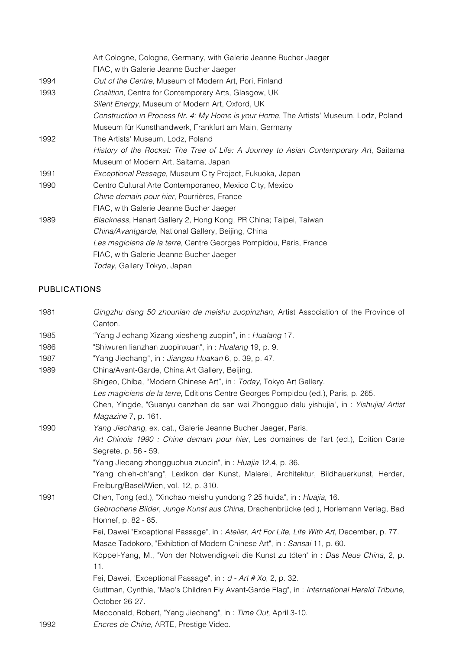|      | Art Cologne, Cologne, Germany, with Galerie Jeanne Bucher Jaeger                       |
|------|----------------------------------------------------------------------------------------|
|      | FIAC, with Galerie Jeanne Bucher Jaeger                                                |
| 1994 | Out of the Centre, Museum of Modern Art, Pori, Finland                                 |
| 1993 | Coalition, Centre for Contemporary Arts, Glasgow, UK                                   |
|      | Silent Energy, Museum of Modern Art, Oxford, UK                                        |
|      | Construction in Process Nr. 4: My Home is your Home, The Artists' Museum, Lodz, Poland |
|      | Museum für Kunsthandwerk, Frankfurt am Main, Germany                                   |
| 1992 | The Artists' Museum, Lodz, Poland                                                      |
|      | History of the Rocket: The Tree of Life: A Journey to Asian Contemporary Art, Saitama  |
|      | Museum of Modern Art, Saitama, Japan                                                   |
| 1991 | Exceptional Passage, Museum City Project, Fukuoka, Japan                               |
| 1990 | Centro Cultural Arte Contemporaneo, Mexico City, Mexico                                |
|      | Chine demain pour hier, Pourrières, France                                             |
|      | FIAC, with Galerie Jeanne Bucher Jaeger                                                |
| 1989 | Blackness, Hanart Gallery 2, Hong Kong, PR China; Taipei, Taiwan                       |
|      | China/Avantgarde, National Gallery, Beijing, China                                     |
|      | Les magiciens de la terre, Centre Georges Pompidou, Paris, France                      |
|      | FIAC, with Galerie Jeanne Bucher Jaeger                                                |
|      | Today, Gallery Tokyo, Japan                                                            |

# PUBLICATIONS

| 1981 | Qingzhu dang 50 zhounian de meishu zuopinzhan, Artist Association of the Province of<br>Canton.             |
|------|-------------------------------------------------------------------------------------------------------------|
| 1985 | "Yang Jiechang Xizang xiesheng zuopin", in: Hualang 17.                                                     |
| 1986 | "Shiwuren lianzhan zuopinxuan", in: Hualang 19, p. 9.                                                       |
| 1987 | "Yang Jiechang", in: Jiangsu Huakan 6, p. 39, p. 47.                                                        |
| 1989 | China/Avant-Garde, China Art Gallery, Beijing.                                                              |
|      | Shigeo, Chiba, "Modern Chinese Art", in: Today, Tokyo Art Gallery.                                          |
|      | Les magiciens de la terre, Editions Centre Georges Pompidou (ed.), Paris, p. 265.                           |
|      | Chen, Yingde, "Guanyu canzhan de san wei Zhongguo dalu yishujia", in : Yishujia/ Artist                     |
|      | Magazine 7, p. 161.                                                                                         |
| 1990 | Yang Jiechang, ex. cat., Galerie Jeanne Bucher Jaeger, Paris.                                               |
|      | Art Chinois 1990 : Chine demain pour hier, Les domaines de l'art (ed.), Edition Carte                       |
|      | Segrete, p. 56 - 59.                                                                                        |
|      | "Yang Jiecang zhongguohua zuopin", in: Huajia 12.4, p. 36.                                                  |
|      | "Yang chieh-ch'ang", Lexikon der Kunst, Malerei, Architektur, Bildhauerkunst, Herder,                       |
|      | Freiburg/Basel/Wien, vol. 12, p. 310.                                                                       |
| 1991 | Chen, Tong (ed.), "Xinchao meishu yundong ? 25 huida", in : Huajia, 16.                                     |
|      | Gebrochene Bilder, Junge Kunst aus China, Drachenbrücke (ed.), Horlemann Verlag, Bad<br>Honnef, p. 82 - 85. |
|      | Fei, Dawei "Exceptional Passage", in: Atelier, Art For Life, Life With Art, December, p. 77.                |
|      | Masae Tadokoro, "Exhibtion of Modern Chinese Art", in: Sansai 11, p. 60.                                    |
|      | Köppel-Yang, M., "Von der Notwendigkeit die Kunst zu töten" in : Das Neue China, 2, p.                      |
|      | 11.                                                                                                         |
|      | Fei, Dawei, "Exceptional Passage", in : $d$ - Art # Xo, 2, p. 32.                                           |
|      | Guttman, Cynthia, "Mao's Children Fly Avant-Garde Flag", in: International Herald Tribune,                  |
|      | October 26-27.                                                                                              |
|      | Macdonald, Robert, "Yang Jiechang", in: Time Out, April 3-10.                                               |
| 1992 | Encres de Chine, ARTE, Prestige Video.                                                                      |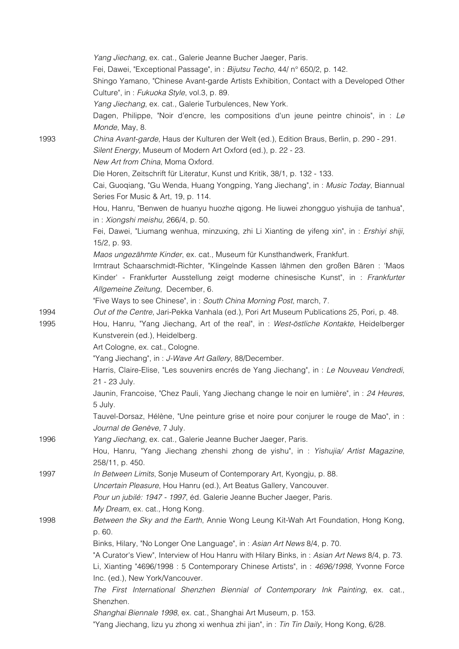|      | Yang Jiechang, ex. cat., Galerie Jeanne Bucher Jaeger, Paris.<br>Fei, Dawei, "Exceptional Passage", in: Bijutsu Techo, 44/ n° 650/2, p. 142.<br>Shingo Yamano, "Chinese Avant-garde Artists Exhibition, Contact with a Developed Other<br>Culture", in: Fukuoka Style, vol.3, p. 89. |
|------|--------------------------------------------------------------------------------------------------------------------------------------------------------------------------------------------------------------------------------------------------------------------------------------|
|      | Yang Jiechang, ex. cat., Galerie Turbulences, New York.                                                                                                                                                                                                                              |
|      | Dagen, Philippe, "Noir d'encre, les compositions d'un jeune peintre chinois", in : Le                                                                                                                                                                                                |
|      | Monde, May, 8.                                                                                                                                                                                                                                                                       |
| 1993 | China Avant-garde, Haus der Kulturen der Welt (ed.), Edition Braus, Berlin, p. 290 - 291.                                                                                                                                                                                            |
|      | Silent Energy, Museum of Modern Art Oxford (ed.), p. 22 - 23.                                                                                                                                                                                                                        |
|      | New Art from China, Moma Oxford.                                                                                                                                                                                                                                                     |
|      | Die Horen, Zeitschrift für Literatur, Kunst und Kritik, 38/1, p. 132 - 133.                                                                                                                                                                                                          |
|      | Cai, Guoqiang, "Gu Wenda, Huang Yongping, Yang Jiechang", in: Music Today, Biannual                                                                                                                                                                                                  |
|      | Series For Music & Art, 19, p. 114.                                                                                                                                                                                                                                                  |
|      | Hou, Hanru, "Benwen de huanyu huozhe qigong. He liuwei zhongguo yishujia de tanhua",                                                                                                                                                                                                 |
|      | in: Xiongshi meishu, 266/4, p. 50.                                                                                                                                                                                                                                                   |
|      | Fei, Dawei, "Liumang wenhua, minzuxing, zhi Li Xianting de yifeng xin", in : Ershiyi shiji,                                                                                                                                                                                          |
|      | 15/2, p. 93.                                                                                                                                                                                                                                                                         |
|      | Maos ungezähmte Kinder, ex. cat., Museum für Kunsthandwerk, Frankfurt.                                                                                                                                                                                                               |
|      | Irmtraut Schaarschmidt-Richter, "Klingelnde Kassen lähmen den großen Bären : 'Maos                                                                                                                                                                                                   |
|      | Kinder' - Frankfurter Ausstellung zeigt moderne chinesische Kunst", in : Frankfurter                                                                                                                                                                                                 |
|      | Allgemeine Zeitung, December, 6.                                                                                                                                                                                                                                                     |
|      | "Five Ways to see Chinese", in: South China Morning Post, march, 7.                                                                                                                                                                                                                  |
| 1994 | Out of the Centre, Jari-Pekka Vanhala (ed.), Pori Art Museum Publications 25, Pori, p. 48.                                                                                                                                                                                           |
| 1995 | Hou, Hanru, "Yang Jiechang, Art of the real", in: West-östliche Kontakte, Heidelberger                                                                                                                                                                                               |
|      | Kunstverein (ed.), Heidelberg.                                                                                                                                                                                                                                                       |
|      | Art Cologne, ex. cat., Cologne.                                                                                                                                                                                                                                                      |
|      | "Yang Jiechang", in: J-Wave Art Gallery, 88/December.                                                                                                                                                                                                                                |
|      | Harris, Claire-Elise, "Les souvenirs encrés de Yang Jiechang", in : Le Nouveau Vendredi,                                                                                                                                                                                             |
|      | 21 - 23 July.                                                                                                                                                                                                                                                                        |
|      | Jaunin, Francoise, "Chez Pauli, Yang Jiechang change le noir en lumière", in : 24 Heures,                                                                                                                                                                                            |
|      | 5 July.                                                                                                                                                                                                                                                                              |
|      | Tauvel-Dorsaz, Hélène, "Une peinture grise et noire pour conjurer le rouge de Mao", in :                                                                                                                                                                                             |
|      | Journal de Genève, 7 July.                                                                                                                                                                                                                                                           |
| 1996 | Yang Jiechang, ex. cat., Galerie Jeanne Bucher Jaeger, Paris.                                                                                                                                                                                                                        |
|      | Hou, Hanru, "Yang Jiechang zhenshi zhong de yishu", in : Yishujia/ Artist Magazine,                                                                                                                                                                                                  |
| 1997 | 258/11, p. 450.<br>In Between Limits, Sonje Museum of Contemporary Art, Kyongju, p. 88.                                                                                                                                                                                              |
|      | Uncertain Pleasure, Hou Hanru (ed.), Art Beatus Gallery, Vancouver.                                                                                                                                                                                                                  |
|      | Pour un jubilé: 1947 - 1997, éd. Galerie Jeanne Bucher Jaeger, Paris.                                                                                                                                                                                                                |
|      | My Dream, ex. cat., Hong Kong.                                                                                                                                                                                                                                                       |
| 1998 | Between the Sky and the Earth, Annie Wong Leung Kit-Wah Art Foundation, Hong Kong,                                                                                                                                                                                                   |
|      | p. 60.                                                                                                                                                                                                                                                                               |
|      | Binks, Hilary, "No Longer One Language", in: Asian Art News 8/4, p. 70.                                                                                                                                                                                                              |
|      | "A Curator's View", Interview of Hou Hanru with Hilary Binks, in: Asian Art News 8/4, p. 73.                                                                                                                                                                                         |
|      | Li, Xianting "4696/1998 : 5 Contemporary Chinese Artists", in : 4696/1998, Yvonne Force                                                                                                                                                                                              |
|      | Inc. (ed.), New York/Vancouver.                                                                                                                                                                                                                                                      |
|      | The First International Shenzhen Biennial of Contemporary Ink Painting, ex. cat.,                                                                                                                                                                                                    |
|      | Shenzhen.                                                                                                                                                                                                                                                                            |
|      | Shanghai Biennale 1998, ex. cat., Shanghai Art Museum, p. 153.                                                                                                                                                                                                                       |
|      | "Yang Jiechang, lizu yu zhong xi wenhua zhi jian", in : Tin Tin Daily, Hong Kong, 6/28.                                                                                                                                                                                              |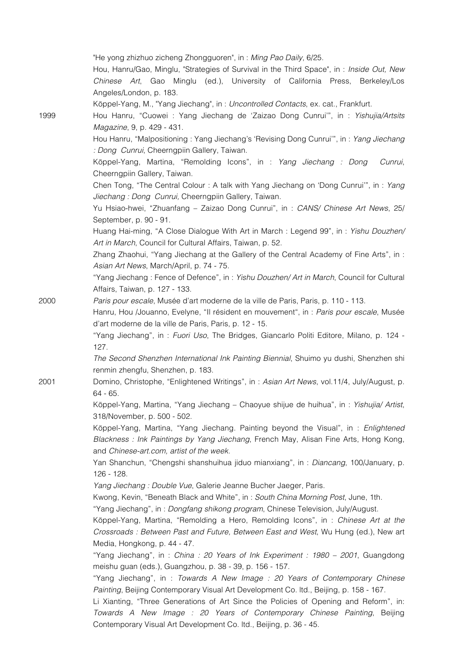|      | "He yong zhizhuo zicheng Zhongguoren", in: Ming Pao Daily, 6/25.                                                                                                                |
|------|---------------------------------------------------------------------------------------------------------------------------------------------------------------------------------|
|      | Hou, Hanru/Gao, Minglu, "Strategies of Survival in the Third Space", in : Inside Out, New                                                                                       |
|      | Chinese Art, Gao Minglu (ed.), University of California Press, Berkeley/Los<br>Angeles/London, p. 183.                                                                          |
|      | Köppel-Yang, M., "Yang Jiechang", in: Uncontrolled Contacts, ex. cat., Frankfurt.                                                                                               |
| 1999 | Hou Hanru, "Cuowei : Yang Jiechang de 'Zaizao Dong Cunrui'", in : Yishujia/Artsits                                                                                              |
|      | Magazine, 9, p. 429 - 431.                                                                                                                                                      |
|      | Hou Hanru, "Malpositioning: Yang Jiechang's 'Revising Dong Cunrui'", in: Yang Jiechang<br>: Dong Cunrui, Cheerngpiin Gallery, Taiwan.                                           |
|      | Köppel-Yang, Martina, "Remolding Icons", in : Yang Jiechang : Dong<br>Cunrui,                                                                                                   |
|      | Cheerngpiin Gallery, Taiwan.                                                                                                                                                    |
|      | Chen Tong, "The Central Colour: A talk with Yang Jiechang on 'Dong Cunrui'", in: Yang                                                                                           |
|      | Jiechang: Dong Cunrui, Cheerngpiin Gallery, Taiwan.                                                                                                                             |
|      | Yu Hsiao-hwei, "Zhuanfang - Zaizao Dong Cunrui", in : CANS/ Chinese Art News, 25/<br>September, p. 90 - 91.                                                                     |
|      | Huang Hai-ming, "A Close Dialogue With Art in March : Legend 99", in : Yishu Douzhen/                                                                                           |
|      | Art in March, Council for Cultural Affairs, Taiwan, p. 52.                                                                                                                      |
|      | Zhang Zhaohui, "Yang Jiechang at the Gallery of the Central Academy of Fine Arts", in :<br>Asian Art News, March/April, p. 74 - 75.                                             |
|      | "Yang Jiechang: Fence of Defence", in: Yishu Douzhen/ Art in March, Council for Cultural<br>Affairs, Taiwan, p. 127 - 133.                                                      |
| 2000 | Paris pour escale, Musée d'art moderne de la ville de Paris, Paris, p. 110 - 113.                                                                                               |
|      | Hanru, Hou /Jouanno, Evelyne, "Il résident en mouvement", in : Paris pour escale, Musée                                                                                         |
|      | d'art moderne de la ville de Paris, Paris, p. 12 - 15.                                                                                                                          |
|      | "Yang Jiechang", in: Fuori Uso, The Bridges, Giancarlo Politi Editore, Milano, p. 124 -<br>127.                                                                                 |
|      | The Second Shenzhen International Ink Painting Biennial, Shuimo yu dushi, Shenzhen shi                                                                                          |
|      | renmin zhengfu, Shenzhen, p. 183.                                                                                                                                               |
| 2001 | Domino, Christophe, "Enlightened Writings", in: Asian Art News, vol.11/4, July/August, p.<br>64 - 65.                                                                           |
|      | Köppel-Yang, Martina, "Yang Jiechang – Chaoyue shijue de huihua", in : Yishujia/ Artist,<br>318/November, p. 500 - 502.                                                         |
|      | Köppel-Yang, Martina, "Yang Jiechang. Painting beyond the Visual", in: Enlightened                                                                                              |
|      | Blackness: Ink Paintings by Yang Jiechang, French May, Alisan Fine Arts, Hong Kong,<br>and Chinese-art.com, artist of the week.                                                 |
|      | Yan Shanchun, "Chengshi shanshuihua jiduo mianxiang", in: Diancang, 100/January, p.                                                                                             |
|      | 126 - 128.                                                                                                                                                                      |
|      | Yang Jiechang : Double Vue, Galerie Jeanne Bucher Jaeger, Paris.                                                                                                                |
|      | Kwong, Kevin, "Beneath Black and White", in: South China Morning Post, June, 1th.                                                                                               |
|      | "Yang Jiechang", in: Dongfang shikong program, Chinese Television, July/August.                                                                                                 |
|      | Köppel-Yang, Martina, "Remolding a Hero, Remolding Icons", in : Chinese Art at the                                                                                              |
|      | Crossroads: Between Past and Future, Between East and West, Wu Hung (ed.), New art                                                                                              |
|      | Media, Hongkong, p. 44 - 47.                                                                                                                                                    |
|      | "Yang Jiechang", in: <i>China: 20 Years of lnk Experiment: 1980 - 2001</i> , Guangdong                                                                                          |
|      | meishu guan (eds.), Guangzhou, p. 38 - 39, p. 156 - 157.                                                                                                                        |
|      | "Yang Jiechang", in: Towards A New Image: 20 Years of Contemporary Chinese                                                                                                      |
|      | Painting, Beijing Contemporary Visual Art Development Co. Itd., Beijing, p. 158 - 167.<br>Li Xianting, "Three Generations of Art Since the Policies of Opening and Reform", in: |
|      | Towards A New Image : 20 Years of Contemporary Chinese Painting, Beijing                                                                                                        |
|      | Contemporary Visual Art Development Co. Itd., Beijing, p. 36 - 45.                                                                                                              |
|      |                                                                                                                                                                                 |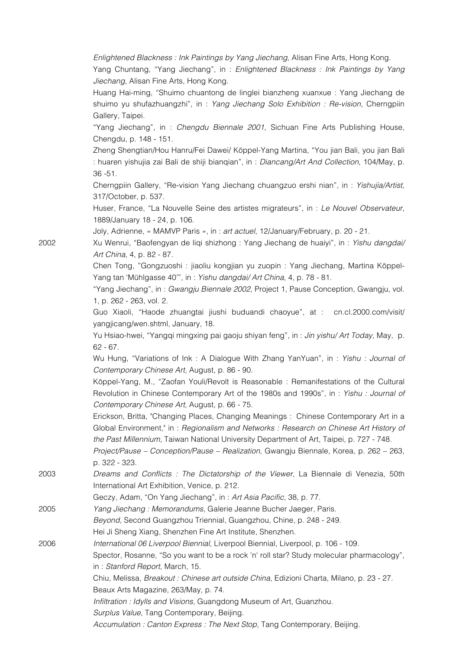*Enlightened Blackness : Ink Paintings by Yang Jiechang*, Alisan Fine Arts, Hong Kong.

Yang Chuntang, "Yang Jiechang", in : *Enlightened Blackness : Ink Paintings by Yang Jiechang*, Alisan Fine Arts, Hong Kong.

Huang Hai-ming, "Shuimo chuantong de linglei bianzheng xuanxue : Yang Jiechang de shuimo yu shufazhuangzhi", in : *Yang Jiechang Solo Exhibition : Re-vision*, Cherngpiin Gallery, Taipei.

"Yang Jiechang", in : *Chengdu Biennale 2001*, Sichuan Fine Arts Publishing House, Chengdu, p. 148 - 151.

Zheng Shengtian/Hou Hanru/Fei Dawei/ Köppel-Yang Martina, "You jian Bali, you jian Bali : huaren yishujia zai Bali de shiji bianqian", in : *Diancang/Art And Collection*, 104/May, p. 36 -51.

Cherngpiin Gallery, "Re-vision Yang Jiechang chuangzuo ershi nian", in : *Yishujia/Artist*, 317/October, p. 537.

Huser, France, "La Nouvelle Seine des artistes migrateurs", in : *Le Nouvel Observateur*, 1889/January 18 - 24, p. 106.

Joly, Adrienne, « MAMVP Paris », in : *art actuel*, 12/January/February, p. 20 - 21.

2002 Xu Wenrui, "Baofengyan de liqi shizhong : Yang Jiechang de huaiyi", in : *Yishu dangdai/ Art China*, 4, p. 82 - 87.

> Chen Tong, "Gongzuoshi : jiaoliu kongjian yu zuopin : Yang Jiechang, Martina Köppel-Yang tan 'Mühlgasse 40'", in : *Yishu dangdai/ Art China*, 4, p. 78 - 81.

> "Yang Jiechang", in : *Gwangju Biennale 2002*, Project 1, Pause Conception, Gwangju, vol. 1, p. 262 - 263, vol. 2.

> Guo Xiaoli, "Haode zhuangtai jiushi buduandi chaoyue", at : cn.cl.2000.com/visit/ yangjicang/wen.shtml, January, 18.

> Yu Hsiao-hwei, "Yangqi mingxing pai gaoju shiyan feng", in : *Jin yishu/ Art Today*, May, p. 62 - 67.

> Wu Hung, "Variations of Ink : A Dialogue With Zhang YanYuan", in : *Yishu : Journal of Contemporary Chinese Art*, August, p. 86 - 90.

> Köppel-Yang, M., "Zaofan Youli/Revolt is Reasonable : Remanifestations of the Cultural Revolution in Chinese Contemporary Art of the 1980s and 1990s", in : *Yishu : Journal of Contemporary Chinese Art*, August, p. 66 - 75.

> Erickson, Britta, "Changing Places, Changing Meanings : Chinese Contemporary Art in a Global Environment," in : *Regionalism and Networks : Research on Chinese Art History of the Past Millennium*, Taiwan National University Department of Art, Taipei, p. 727 - 748.

> *Project/Pause – Conception/Pause – Realization*, Gwangju Biennale, Korea, p. 262 – 263, p. 322 - 323.

- 2003 *Dreams and Conflicts : The Dictatorship of the Viewer*, La Biennale di Venezia, 50th International Art Exhibition, Venice, p. 212.
	- Geczy, Adam, "On Yang Jiechang", in : *Art Asia Pacific*, 38, p. 77.

2005 *Yang Jiechang : Memorandums*, Galerie Jeanne Bucher Jaeger, Paris.

*Beyond*, Second Guangzhou Triennial, Guangzhou, Chine, p. 248 - 249.

Hei Ji Sheng Xiang, Shenzhen Fine Art Institute, Shenzhen.

2006 *International 06 Liverpool Biennial,* Liverpool Biennial, Liverpool, p. 106 - 109.

Spector, Rosanne, "So you want to be a rock 'n' roll star? Study molecular pharmacology", in : *Stanford Report*, March, 15.

Chiu, Melissa, *Breakout : Chinese art outside China*, Edizioni Charta, Milano, p. 23 - 27. Beaux Arts Magazine, 263/May, p. 74.

*Infiltration : Idylls and Visions*, Guangdong Museum of Art, Guanzhou.

*Surplus Value*, Tang Contemporary, Beijing.

*Accumulation : Canton Express : The Next Stop*, Tang Contemporary, Beijing.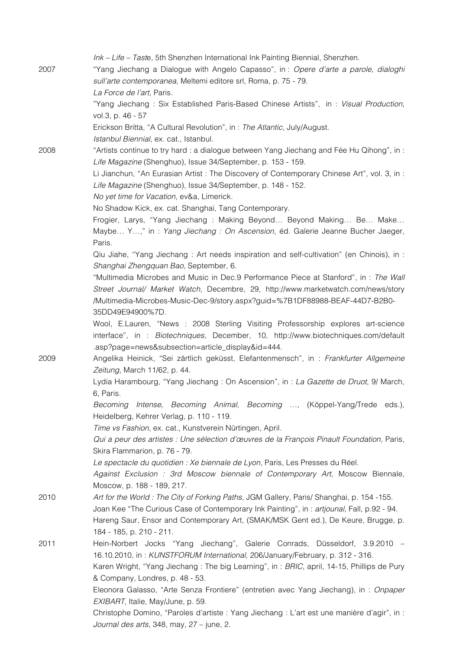|      | Ink - Life - Taste, 5th Shenzhen International Ink Painting Biennial, Shenzhen.             |
|------|---------------------------------------------------------------------------------------------|
| 2007 | "Yang Jiechang a Dialogue with Angelo Capasso", in: Opere d'arte a parole, dialoghi         |
|      | sull'arte contemporanea, Meltemi editore srl, Roma, p. 75 - 79.                             |
|      | La Force de l'art, Paris.                                                                   |
|      | "Yang Jiechang: Six Established Paris-Based Chinese Artists", in: Visual Production,        |
|      | vol.3, p. 46 - 57                                                                           |
|      | Erickson Britta, "A Cultural Revolution", in: The Atlantic, July/August.                    |
|      | Istanbul Biennial, ex. cat., Istanbul.                                                      |
| 2008 | "Artists continue to try hard : a dialogue between Yang Jiechang and Fée Hu Qihong", in :   |
|      | Life Magazine (Shenghuo), Issue 34/September, p. 153 - 159.                                 |
|      | Li Jianchun, "An Eurasian Artist : The Discovery of Contemporary Chinese Art", vol. 3, in : |
|      | Life Magazine (Shenghuo), Issue 34/September, p. 148 - 152.                                 |
|      | No yet time for Vacation, ev&a, Limerick.                                                   |
|      | No Shadow Kick, ex. cat. Shanghai, Tang Contemporary.                                       |
|      | Frogier, Larys, "Yang Jiechang: Making Beyond Beyond Making Be Make                         |
|      | Maybe Y," in: Yang Jiechang: On Ascension, éd. Galerie Jeanne Bucher Jaeger,                |
|      | Paris.                                                                                      |
|      | Qiu Jiahe, "Yang Jiechang: Art needs inspiration and self-cultivation" (en Chinois), in:    |
|      | Shanghai Zhengquan Bao, September, 6.                                                       |
|      | "Multimedia Microbes and Music in Dec.9 Performance Piece at Stanford", in : The Wall       |
|      | Street Journal/ Market Watch, Decembre, 29, http://www.marketwatch.com/news/story           |
|      | /Multimedia-Microbes-Music-Dec-9/story.aspx?guid=%7B1DF88988-BEAF-44D7-B2B0-                |
|      | 35DD49E94900%7D.                                                                            |
|      | Wool, E.Lauren, "News : 2008 Sterling Visiting Professorship explores art-science           |
|      | interface", in : Biotechniques, December, 10, http://www.biotechniques.com/default          |
|      | .asp?page=news&subsection=article_display&id=444.                                           |
| 2009 | Angelika Heinick, "Sei zärtlich geküsst, Elefantenmensch", in : Frankfurter Allgemeine      |
|      | Zeitung, March 11/62, p. 44.                                                                |
|      | Lydia Harambourg, "Yang Jiechang : On Ascension", in : La Gazette de Druot, 9/ March,       |
|      | 6, Paris.                                                                                   |
|      | Becoming Intense, Becoming Animal, Becoming , (Köppel-Yang/Trede eds.),                     |
|      | Heidelberg, Kehrer Verlag, p. 110 - 119.                                                    |
|      | Time vs Fashion, ex. cat., Kunstverein Nürtingen, April.                                    |
|      | Qui a peur des artistes : Une sélection d'œuvres de la François Pinault Foundation, Paris,  |
|      | Skira Flammarion, p. 76 - 79.                                                               |
|      | Le spectacle du quotidien : Xe biennale de Lyon, Paris, Les Presses du Réel.                |
|      | Against Exclusion : 3rd Moscow biennale of Contemporary Art, Moscow Biennale,               |
|      | Moscow, p. 188 - 189, 217.                                                                  |
| 2010 | Art for the World: The City of Forking Paths, JGM Gallery, Paris/ Shanghai, p. 154-155.     |
|      | Joan Kee "The Curious Case of Contemporary Ink Painting", in: artjounal, Fall, p.92 - 94.   |
|      | Hareng Saur, Ensor and Contemporary Art, (SMAK/MSK Gent ed.), De Keure, Brugge, p.          |
|      | 184 - 185, p. 210 - 211.                                                                    |
| 2011 | Hein-Norbert Jocks "Yang Jiechang", Galerie Conrads, Düsseldorf, 3.9.2010 -                 |
|      | 16.10.2010, in: KUNSTFORUM International, 206/January/February, p. 312 - 316.               |
|      | Karen Wright, "Yang Jiechang: The big Learning", in: BRIC, april, 14-15, Phillips de Pury   |
|      | & Company, Londres, p. 48 - 53.                                                             |
|      | Eleonora Galasso, "Arte Senza Frontiere" (entretien avec Yang Jiechang), in : Onpaper       |
|      | EXIBART, Italie, May/June, p. 59.                                                           |
|      | Christophe Domino, "Paroles d'artiste : Yang Jiechang : L'art est une manière d'agir", in : |
|      | Journal des arts, 348, may, 27 - june, 2.                                                   |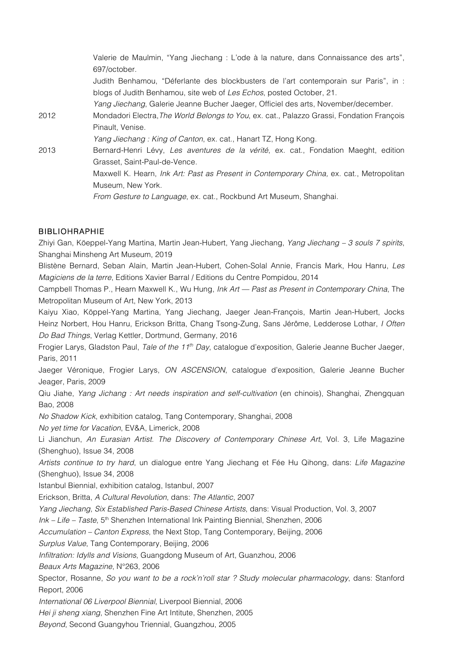Valerie de Maulmin, "Yang Jiechang : L'ode à la nature, dans Connaissance des arts", 697/october. Judith Benhamou, "Déferlante des blockbusters de l'art contemporain sur Paris", in : blogs of Judith Benhamou, site web of *Les Echos*, posted October, 21. *Yang Jiechang*, Galerie Jeanne Bucher Jaeger, Officiel des arts, November/december. 2012 Mondadori Electra,*The World Belongs to You*, ex. cat., Palazzo Grassi, Fondation François Pinault, Venise. *Yang Jiechang : King of Canton*, ex. cat., Hanart TZ, Hong Kong. 2013 Bernard-Henri Lévy, *Les aventures de la vérité*, ex. cat., Fondation Maeght, edition Grasset, Saint-Paul-de-Vence. Maxwell K. Hearn, *Ink Art: Past as Present in Contemporary China*, ex. cat., Metropolitan Museum, New York. *From Gesture to Language*, ex. cat., Rockbund Art Museum, Shanghai.

#### BIBLIOHRAPHIE

Zhiyi Gan, Köeppel-Yang Martina, Martin Jean-Hubert, Yang Jiechang, *Yang Jiechang – 3 souls 7 spirits*, Shanghai Minsheng Art Museum, 2019

Blistène Bernard, Seban Alain, Martin Jean-Hubert, Cohen-Solal Annie, Francis Mark, Hou Hanru, *Les Magiciens de la terre*, Editions Xavier Barral / Editions du Centre Pompidou, 2014

Campbell Thomas P., Hearn Maxwell K., Wu Hung, *Ink Art — Past as Present in Contemporary China*, The Metropolitan Museum of Art, New York, 2013

Kaiyu Xiao, Köppel-Yang Martina, Yang Jiechang, Jaeger Jean-François, Martin Jean-Hubert, Jocks Heinz Norbert, Hou Hanru, Erickson Britta, Chang Tsong-Zung, Sans Jérôme, Ledderose Lothar, *I Often Do Bad Things*, Verlag Kettler, Dortmund, Germany, 2016

Frogier Larys, Gladston Paul, *Tale of the 11th Day*, catalogue d'exposition, Galerie Jeanne Bucher Jaeger, Paris, 2011

Jaeger Véronique, Frogier Larys, *ON ASCENSION*, catalogue d'exposition, Galerie Jeanne Bucher Jeager, Paris, 2009

Qiu Jiahe, *Yang Jichang : Art needs inspiration and self-cultivation* (en chinois), Shanghai, Zhengquan Bao, 2008

*No Shadow Kick*, exhibition catalog, Tang Contemporary, Shanghai, 2008

*No yet time for Vacation*, EV&A, Limerick, 2008

Li Jianchun, *An Eurasian Artist. The Discovery of Contemporary Chinese Art*, Vol. 3, Life Magazine (Shenghuo), Issue 34, 2008

*Artists continue to try hard*, un dialogue entre Yang Jiechang et Fée Hu Qihong, dans: *Life Magazine* (Shenghuo), Issue 34, 2008

Istanbul Biennial, exhibition catalog, Istanbul, 2007

Erickson, Britta, *A Cultural Revolution*, dans: *The Atlantic*, 2007

*Yang Jiechang, Six Established Paris-Based Chinese Artists*, dans: Visual Production, Vol. 3, 2007

*Ink – Life – Taste*, 5th Shenzhen International Ink Painting Biennial, Shenzhen, 2006

*Accumulation – Canton Express*, the Next Stop, Tang Contemporary, Beijing, 2006

*Surplus Value*, Tang Contemporary, Beijing, 2006

*Infiltration: Idylls and Visions*, Guangdong Museum of Art, Guanzhou, 2006

*Beaux Arts Magazine*, N°263, 2006

Spector, Rosanne, *So you want to be a rock'n'roll star ? Study molecular pharmacology*, dans: Stanford Report, 2006

*International 06 Liverpool Biennial*, Liverpool Biennial, 2006

*Hei ji sheng xiang*, Shenzhen Fine Art Intitute, Shenzhen, 2005

*Beyond*, Second Guangyhou Triennial, Guangzhou, 2005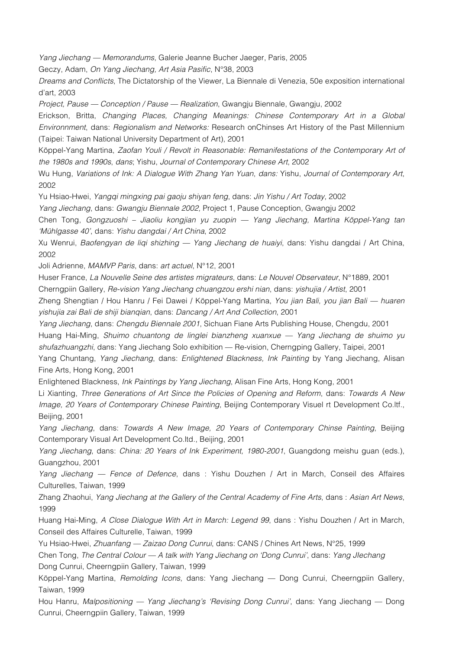*Yang Jiechang — Memorandums*, Galerie Jeanne Bucher Jaeger, Paris, 2005

Geczy, Adam, *On Yang Jiechang, Art Asia Pasific*, N°38, 2003

*Dreams and Conflicts*, The Dictatorship of the Viewer, La Biennale di Venezia, 50e exposition international d'art, 2003

*Project, Pause — Conception / Pause — Realization*, Gwangju Biennale, Gwangju, 2002

Erickson, Britta, *Changing Places, Changing Meanings: Chinese Contemporary Art in a Global Environnment*, dans: *Regionalism and Networks:* Research onChinses Art History of the Past Millennium (Taipei: Taiwan National University Department of Art), 2001

Köppel-Yang Martina, *Zaofan Youli / Revolt in Reasonable: Remanifestations of the Contemporary Art of the 1980s and 1990s*, *dans*; Yishu, *Journal of Contemporary Chinese Art*, 2002

Wu Hung, *Variations of Ink: A Dialogue With Zhang Yan Yuan*, *dans:* Yishu, *Journal of Contemporary Art*, 2002

Yu Hsiao-Hwei, *Yangqi mingxing pai gaoju shiyan feng*, dans: *Jin Yishu / Art Today*, 2002

*Yang Jiechang*, dans: *Gwangju Biennale 2002,* Project 1, Pause Conception, Gwangju 2002

Chen Tong, *Gongzuoshi – Jiaoliu kongjian yu zuopin — Yang Jiechang, Martina Köppel-Yang tan 'Mühlgasse 40'*, dans: *Yishu dangdai / Art China*, 2002

Xu Wenrui, *Baofengyan de liqi shizhing — Yang Jiechang de huaiyi*, dans: Yishu dangdai / Art China, 2002

Joli Adrienne, *MAMVP Paris*, dans: *art actuel*, N°12, 2001

Huser France, *La Nouvelle Seine des artistes migrateurs*, dans: *Le Nouvel Observateur*, N°1889, 2001 Cherngpiin Gallery, *Re-vision Yang Jiechang chuangzou ershi nian*, dans: *yishujia / Artist*, 2001

Zheng Shengtian / Hou Hanru / Fei Dawei / Köppel-Yang Martina, *You jian Bali, you jian Bali — huaren yishujia zai Bali de shiji bianqian*, dans: *Dancang / Art And Collection*, 2001

*Yang Jiechang*, dans: *Chengdu Biennale 2001*, Sichuan Fiane Arts Publishing House, Chengdu, 2001 Huang Hai-Ming, *Shuimo chuantong de linglei bianzheng xuanxue — Yang Jiechang de shuimo yu shufazhuangzhi*, dans: Yang Jiechang Solo exhibition — Re-vision, Cherngping Gallery, Taipei, 2001

Yang Chuntang, *Yang Jiechang*, dans: *Enlightened Blackness, Ink Painting* by Yang Jiechang, Alisan Fine Arts, Hong Kong, 2001

Enlightened Blackness, *Ink Paintings by Yang Jiechang*, Alisan Fine Arts, Hong Kong, 2001

Li Xianting, *Three Generations of Art Since the Policies of Opening and Reform*, dans: *Towards A New Image, 20 Years of Contemporary Chinese Painting*, Beijing Contemporary Visuel rt Development Co.ltf., Beijing, 2001

*Yang Jiechang*, dans: *Towards A New Image, 20 Years of Contemporary Chinse Painting*, Beijing Contemporary Visual Art Development Co.ltd., Beijing, 2001

*Yang Jiechang*, dans: *China: 20 Years of Ink Experiment, 1980-2001*, Guangdong meishu guan (eds.), Guangzhou, 2001

*Yang Jiechang — Fence of Defence*, dans : Yishu Douzhen / Art in March, Conseil des Affaires Culturelles, Taiwan, 1999

Zhang Zhaohui, *Yang Jiechang at the Gallery of the Central Academy of Fine Arts*, dans : *Asian Art News*, 1999

Huang Hai-Ming, *A Close Dialogue With Art in March: Legend 99*, dans : Yishu Douzhen / Art in March, Conseil des Affaires Culturelle, Taiwan, 1999

Yu Hsiao-Hwei, *Zhuanfang — Zaizao Dong Cunrui*, dans: CANS / Chines Art News, N°25, 1999

Chen Tong, *The Central Colour — A talk with Yang Jiechang on 'Dong Cunrui'*, dans: *Yang JIechang* Dong Cunrui, Cheerngpiin Gallery, Taiwan, 1999

Köppel-Yang Martina, *Remolding Icons*, dans: Yang Jiechang — Dong Cunrui, Cheerngpiin Gallery, Taiwan, 1999

Hou Hanru, *Malpositioning — Yang Jiechang's 'Revising Dong Cunrui'*, dans: Yang Jiechang — Dong Cunrui, Cheerngpiin Gallery, Taiwan, 1999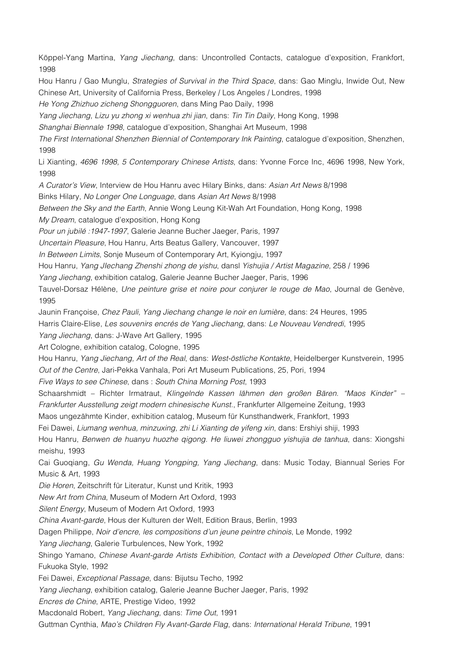Köppel-Yang Martina, *Yang Jiechang*, dans: Uncontrolled Contacts, catalogue d'exposition, Frankfort, 1998

Hou Hanru / Gao Munglu, *Strategies of Survival in the Third Space*, dans: Gao Minglu, Inwide Out, New Chinese Art, University of California Press, Berkeley / Los Angeles / Londres, 1998

*He Yong Zhizhuo zicheng Shongguoren*, dans Ming Pao Daily, 1998

*Yang Jiechang, Lizu yu zhong xi wenhua zhi jian*, dans: *Tin Tin Daily*, Hong Kong, 1998

*Shanghai Biennale 1998*, catalogue d'exposition, Shanghai Art Museum, 1998

*The First International Shenzhen Biennial of Contemporary Ink Painting*, catalogue d'exposition, Shenzhen, 1998

Li Xianting, *4696 1998, 5 Contemporary Chinese Artists*, dans: Yvonne Force Inc, 4696 1998, New York, 1998

*A Curator's View*, Interview de Hou Hanru avec Hilary Binks, dans: *Asian Art News* 8/1998

Binks Hilary, *No Longer One Longuage*, dans *Asian Art News* 8/1998

*Between the Sky and the Earth*, Annie Wong Leung Kit-Wah Art Foundation, Hong Kong, 1998

*My Dream*, catalogue d'exposition, Hong Kong

*Pour un jubilé :1947-1997*, Galerie Jeanne Bucher Jaeger, Paris, 1997

*Uncertain Pleasure*, Hou Hanru, Arts Beatus Gallery, Vancouver, 1997

*In Between Limits*, Sonje Museum of Contemporary Art, Kyiongju, 1997

Hou Hanru, *Yang JIechang Zhenshi zhong de yishu*, dansl *Yishujia / Artist Magazine*, 258 / 1996

*Yang Jiechang*, exhibition catalog, Galerie Jeanne Bucher Jaeger, Paris, 1996

Tauvel-Dorsaz Hélène, *Une peinture grise et noire pour conjurer le rouge de Mao*, Journal de Genève, 1995

Jaunin Françoise, *Chez Pauli, Yang Jiechang change le noir en lumière*, dans: 24 Heures, 1995 Harris Claire-Elise, *Les souvenirs encrés de Yang Jiechang*, dans: *Le Nouveau Vendredi*, 1995

*Yang Jiechang*, dans: J-Wave Art Gallery, 1995

Art Cologne, exhibition catalog, Cologne, 1995

Hou Hanru, *Yang Jiechang, Art of the Real*, dans: *West-östliche Kontakte*, Heidelberger Kunstverein, 1995 *Out of the Centre*, Jari-Pekka Vanhala, Pori Art Museum Publications, 25, Pori, 1994

*Five Ways to see Chinese*, dans : *South China Morning Post*, 1993

Schaarshmidt – Richter Irmatraut, *Klingelnde Kassen lähmen den großen Bären. "Maos Kinder" – Frankfurter Ausstellung zeigt modern chinesische Kunst.*, Frankfurter Allgemeine Zeitung, 1993

Maos ungezähmte Kinder, exhibition catalog, Museum für Kunsthandwerk, Frankfort, 1993

Fei Dawei, *Liumang wenhua, minzuxing, zhi Li Xianting de yifeng xin*, dans: Ershiyi shiji, 1993

Hou Hanru, *Benwen de huanyu huozhe qigong. He liuwei zhongguo yishujia de tanhua*, dans: Xiongshi meishu, 1993

Cai Guoqiang, *Gu Wenda, Huang Yongping, Yang Jiechang*, dans: Music Today, Biannual Series For Music & Art, 1993

*Die Horen*, Zeitschrift für Literatur, Kunst und Kritik, 1993

*New Art from China*, Museum of Modern Art Oxford, 1993

*Silent Energy*, Museum of Modern Art Oxford, 1993

*China Avant-garde*, Hous der Kulturen der Welt, Edition Braus, Berlin, 1993

Dagen Philippe, *Noir d'encre, les compositions d'un jeune peintre chinois*, Le Monde, 1992

*Yang Jiechang*, Galerie Turbulences, New York, 1992

Shingo Yamano, *Chinese Avant-garde Artists Exhibition, Contact with a Developed Other Culture*, dans: Fukuoka Style, 1992

Fei Dawei, *Exceptional Passage*, dans: Bijutsu Techo, 1992

*Yang Jiechang*, exhibition catalog, Galerie Jeanne Bucher Jaeger, Paris, 1992

*Encres de Chine*, ARTE, Prestige Video, 1992

Macdonald Robert, *Yang Jiechang*, dans: *Time Out*, 1991

Guttman Cynthia, *Mao's Children Fly Avant-Garde Flag*, dans: *International Herald Tribune*, 1991